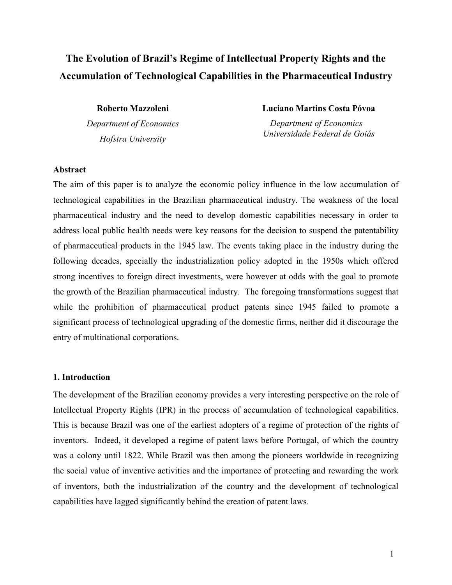# **The Evolution of Brazil's Regime of Intellectual Property Rights and the Accumulation of Technological Capabilities in the Pharmaceutical Industry**

**Roberto Mazzoleni**  *Department of Economics Hofstra University* 

**Luciano Martins Costa Póvoa** 

 *Department of Economics Universidade Federal de Goiás*

#### **Abstract**

The aim of this paper is to analyze the economic policy influence in the low accumulation of technological capabilities in the Brazilian pharmaceutical industry. The weakness of the local pharmaceutical industry and the need to develop domestic capabilities necessary in order to address local public health needs were key reasons for the decision to suspend the patentability of pharmaceutical products in the 1945 law. The events taking place in the industry during the following decades, specially the industrialization policy adopted in the 1950s which offered strong incentives to foreign direct investments, were however at odds with the goal to promote the growth of the Brazilian pharmaceutical industry. The foregoing transformations suggest that while the prohibition of pharmaceutical product patents since 1945 failed to promote a significant process of technological upgrading of the domestic firms, neither did it discourage the entry of multinational corporations.

#### **1. Introduction**

The development of the Brazilian economy provides a very interesting perspective on the role of Intellectual Property Rights (IPR) in the process of accumulation of technological capabilities. This is because Brazil was one of the earliest adopters of a regime of protection of the rights of inventors. Indeed, it developed a regime of patent laws before Portugal, of which the country was a colony until 1822. While Brazil was then among the pioneers worldwide in recognizing the social value of inventive activities and the importance of protecting and rewarding the work of inventors, both the industrialization of the country and the development of technological capabilities have lagged significantly behind the creation of patent laws.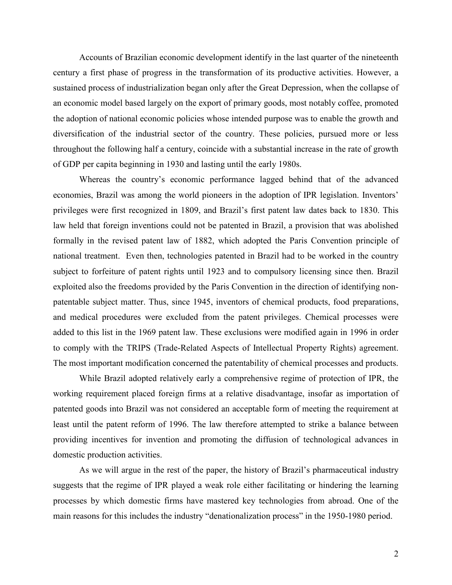Accounts of Brazilian economic development identify in the last quarter of the nineteenth century a first phase of progress in the transformation of its productive activities. However, a sustained process of industrialization began only after the Great Depression, when the collapse of an economic model based largely on the export of primary goods, most notably coffee, promoted the adoption of national economic policies whose intended purpose was to enable the growth and diversification of the industrial sector of the country. These policies, pursued more or less throughout the following half a century, coincide with a substantial increase in the rate of growth of GDP per capita beginning in 1930 and lasting until the early 1980s.

Whereas the country's economic performance lagged behind that of the advanced economies, Brazil was among the world pioneers in the adoption of IPR legislation. Inventors' privileges were first recognized in 1809, and Brazil's first patent law dates back to 1830. This law held that foreign inventions could not be patented in Brazil, a provision that was abolished formally in the revised patent law of 1882, which adopted the Paris Convention principle of national treatment. Even then, technologies patented in Brazil had to be worked in the country subject to forfeiture of patent rights until 1923 and to compulsory licensing since then. Brazil exploited also the freedoms provided by the Paris Convention in the direction of identifying nonpatentable subject matter. Thus, since 1945, inventors of chemical products, food preparations, and medical procedures were excluded from the patent privileges. Chemical processes were added to this list in the 1969 patent law. These exclusions were modified again in 1996 in order to comply with the TRIPS (Trade-Related Aspects of Intellectual Property Rights) agreement. The most important modification concerned the patentability of chemical processes and products.

While Brazil adopted relatively early a comprehensive regime of protection of IPR, the working requirement placed foreign firms at a relative disadvantage, insofar as importation of patented goods into Brazil was not considered an acceptable form of meeting the requirement at least until the patent reform of 1996. The law therefore attempted to strike a balance between providing incentives for invention and promoting the diffusion of technological advances in domestic production activities.

As we will argue in the rest of the paper, the history of Brazil's pharmaceutical industry suggests that the regime of IPR played a weak role either facilitating or hindering the learning processes by which domestic firms have mastered key technologies from abroad. One of the main reasons for this includes the industry "denationalization process" in the 1950-1980 period.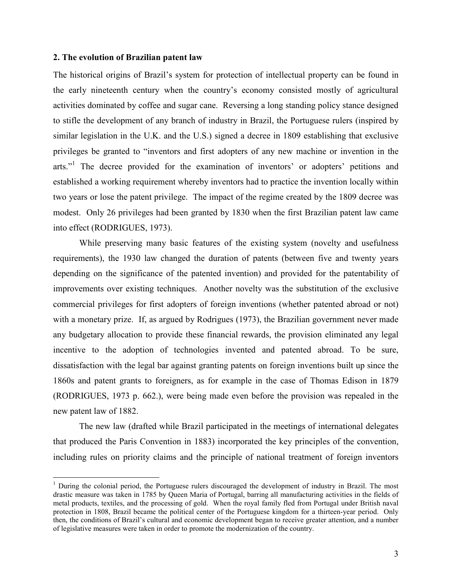#### **2. The evolution of Brazilian patent law**

 $\overline{a}$ 

The historical origins of Brazil's system for protection of intellectual property can be found in the early nineteenth century when the country's economy consisted mostly of agricultural activities dominated by coffee and sugar cane. Reversing a long standing policy stance designed to stifle the development of any branch of industry in Brazil, the Portuguese rulers (inspired by similar legislation in the U.K. and the U.S.) signed a decree in 1809 establishing that exclusive privileges be granted to "inventors and first adopters of any new machine or invention in the arts."<sup>1</sup> The decree provided for the examination of inventors' or adopters' petitions and established a working requirement whereby inventors had to practice the invention locally within two years or lose the patent privilege. The impact of the regime created by the 1809 decree was modest. Only 26 privileges had been granted by 1830 when the first Brazilian patent law came into effect (RODRIGUES, 1973).

 While preserving many basic features of the existing system (novelty and usefulness requirements), the 1930 law changed the duration of patents (between five and twenty years depending on the significance of the patented invention) and provided for the patentability of improvements over existing techniques. Another novelty was the substitution of the exclusive commercial privileges for first adopters of foreign inventions (whether patented abroad or not) with a monetary prize. If, as argued by Rodrigues (1973), the Brazilian government never made any budgetary allocation to provide these financial rewards, the provision eliminated any legal incentive to the adoption of technologies invented and patented abroad. To be sure, dissatisfaction with the legal bar against granting patents on foreign inventions built up since the 1860s and patent grants to foreigners, as for example in the case of Thomas Edison in 1879 (RODRIGUES, 1973 p. 662.), were being made even before the provision was repealed in the new patent law of 1882.

 The new law (drafted while Brazil participated in the meetings of international delegates that produced the Paris Convention in 1883) incorporated the key principles of the convention, including rules on priority claims and the principle of national treatment of foreign inventors

<sup>&</sup>lt;sup>1</sup> During the colonial period, the Portuguese rulers discouraged the development of industry in Brazil. The most drastic measure was taken in 1785 by Queen Maria of Portugal, barring all manufacturing activities in the fields of metal products, textiles, and the processing of gold. When the royal family fled from Portugal under British naval protection in 1808, Brazil became the political center of the Portuguese kingdom for a thirteen-year period. Only then, the conditions of Brazil's cultural and economic development began to receive greater attention, and a number of legislative measures were taken in order to promote the modernization of the country.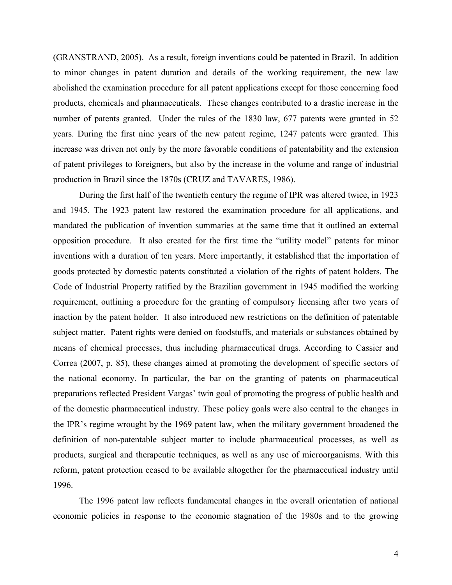(GRANSTRAND, 2005). As a result, foreign inventions could be patented in Brazil. In addition to minor changes in patent duration and details of the working requirement, the new law abolished the examination procedure for all patent applications except for those concerning food products, chemicals and pharmaceuticals. These changes contributed to a drastic increase in the number of patents granted. Under the rules of the 1830 law, 677 patents were granted in 52 years. During the first nine years of the new patent regime, 1247 patents were granted. This increase was driven not only by the more favorable conditions of patentability and the extension of patent privileges to foreigners, but also by the increase in the volume and range of industrial production in Brazil since the 1870s (CRUZ and TAVARES, 1986).

 During the first half of the twentieth century the regime of IPR was altered twice, in 1923 and 1945. The 1923 patent law restored the examination procedure for all applications, and mandated the publication of invention summaries at the same time that it outlined an external opposition procedure. It also created for the first time the "utility model" patents for minor inventions with a duration of ten years. More importantly, it established that the importation of goods protected by domestic patents constituted a violation of the rights of patent holders. The Code of Industrial Property ratified by the Brazilian government in 1945 modified the working requirement, outlining a procedure for the granting of compulsory licensing after two years of inaction by the patent holder. It also introduced new restrictions on the definition of patentable subject matter. Patent rights were denied on foodstuffs, and materials or substances obtained by means of chemical processes, thus including pharmaceutical drugs. According to Cassier and Correa (2007, p. 85), these changes aimed at promoting the development of specific sectors of the national economy. In particular, the bar on the granting of patents on pharmaceutical preparations reflected President Vargas' twin goal of promoting the progress of public health and of the domestic pharmaceutical industry. These policy goals were also central to the changes in the IPR's regime wrought by the 1969 patent law, when the military government broadened the definition of non-patentable subject matter to include pharmaceutical processes, as well as products, surgical and therapeutic techniques, as well as any use of microorganisms. With this reform, patent protection ceased to be available altogether for the pharmaceutical industry until 1996.

 The 1996 patent law reflects fundamental changes in the overall orientation of national economic policies in response to the economic stagnation of the 1980s and to the growing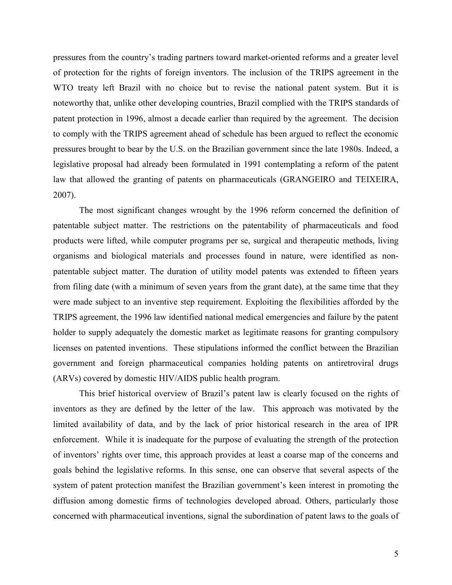pressures from the country's trading partners toward market-oriented reforms and a greater level of protection for the rights of foreign inventors. The inclusion of the TRIPS agreement in the WTO treaty left Brazil with no choice but to revise the national patent system. But it is noteworthy that, unlike other developing countries, Brazil complied with the TRIPS standards of patent protection in 1996, almost a decade earlier than required by the agreement. The decision to comply with the TRIPS agreement ahead of schedule has been argued to reflect the economic pressures brought to bear by the U.S. on the Brazilian government since the late 1980s. Indeed, a legislative proposal had already been formulated in 1991 contemplating a reform of the patent law that allowed the granting of patents on pharmaceuticals (GRANGEIRO and TEIXEIRA, 2007).

The most significant changes wrought by the 1996 reform concerned the definition of patentable subject matter. The restrictions on the patentability of pharmaceuticals and food products were lifted, while computer programs per se, surgical and therapeutic methods, living organisms and biological materials and processes found in nature, were identified as nonpatentable subject matter. The duration of utility model patents was extended to fifteen years from filing date (with a minimum of seven years from the grant date), at the same time that they were made subject to an inventive step requirement. Exploiting the flexibilities afforded by the TRIPS agreement, the 1996 law identified national medical emergencies and failure by the patent holder to supply adequately the domestic market as legitimate reasons for granting compulsory licenses on patented inventions. These stipulations informed the conflict between the Brazilian government and foreign pharmaceutical companies holding patents on antiretroviral drugs (ARVs) covered by domestic HIV/AIDS public health program.

This brief historical overview of Brazil's patent law is clearly focused on the rights of inventors as they are defined by the letter of the law. This approach was motivated by the limited availability of data, and by the lack of prior historical research in the area of IPR enforcement. While it is inadequate for the purpose of evaluating the strength of the protection of inventors' rights over time, this approach provides at least a coarse map of the concerns and goals behind the legislative reforms. In this sense, one can observe that several aspects of the system of patent protection manifest the Brazilian government's keen interest in promoting the diffusion among domestic firms of technologies developed abroad. Others, particularly those concerned with pharmaceutical inventions, signal the subordination of patent laws to the goals of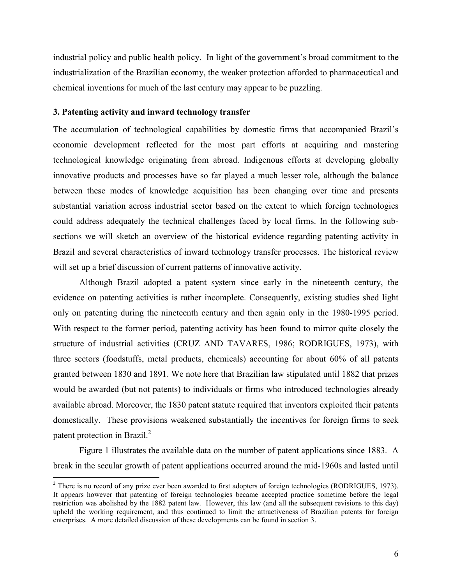industrial policy and public health policy. In light of the government's broad commitment to the industrialization of the Brazilian economy, the weaker protection afforded to pharmaceutical and chemical inventions for much of the last century may appear to be puzzling.

## **3. Patenting activity and inward technology transfer**

 $\overline{a}$ 

The accumulation of technological capabilities by domestic firms that accompanied Brazil's economic development reflected for the most part efforts at acquiring and mastering technological knowledge originating from abroad. Indigenous efforts at developing globally innovative products and processes have so far played a much lesser role, although the balance between these modes of knowledge acquisition has been changing over time and presents substantial variation across industrial sector based on the extent to which foreign technologies could address adequately the technical challenges faced by local firms. In the following subsections we will sketch an overview of the historical evidence regarding patenting activity in Brazil and several characteristics of inward technology transfer processes. The historical review will set up a brief discussion of current patterns of innovative activity.

Although Brazil adopted a patent system since early in the nineteenth century, the evidence on patenting activities is rather incomplete. Consequently, existing studies shed light only on patenting during the nineteenth century and then again only in the 1980-1995 period. With respect to the former period, patenting activity has been found to mirror quite closely the structure of industrial activities (CRUZ AND TAVARES, 1986; RODRIGUES, 1973), with three sectors (foodstuffs, metal products, chemicals) accounting for about 60% of all patents granted between 1830 and 1891. We note here that Brazilian law stipulated until 1882 that prizes would be awarded (but not patents) to individuals or firms who introduced technologies already available abroad. Moreover, the 1830 patent statute required that inventors exploited their patents domestically. These provisions weakened substantially the incentives for foreign firms to seek patent protection in Brazil.<sup>2</sup>

Figure 1 illustrates the available data on the number of patent applications since 1883. A break in the secular growth of patent applications occurred around the mid-1960s and lasted until

 $2^2$  There is no record of any prize ever been awarded to first adopters of foreign technologies (RODRIGUES, 1973). It appears however that patenting of foreign technologies became accepted practice sometime before the legal restriction was abolished by the 1882 patent law. However, this law (and all the subsequent revisions to this day) upheld the working requirement, and thus continued to limit the attractiveness of Brazilian patents for foreign enterprises. A more detailed discussion of these developments can be found in section 3.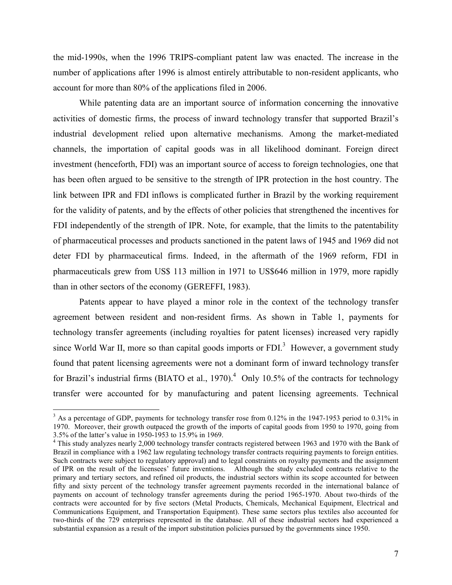the mid-1990s, when the 1996 TRIPS-compliant patent law was enacted. The increase in the number of applications after 1996 is almost entirely attributable to non-resident applicants, who account for more than 80% of the applications filed in 2006.

While patenting data are an important source of information concerning the innovative activities of domestic firms, the process of inward technology transfer that supported Brazil's industrial development relied upon alternative mechanisms. Among the market-mediated channels, the importation of capital goods was in all likelihood dominant. Foreign direct investment (henceforth, FDI) was an important source of access to foreign technologies, one that has been often argued to be sensitive to the strength of IPR protection in the host country. The link between IPR and FDI inflows is complicated further in Brazil by the working requirement for the validity of patents, and by the effects of other policies that strengthened the incentives for FDI independently of the strength of IPR. Note, for example, that the limits to the patentability of pharmaceutical processes and products sanctioned in the patent laws of 1945 and 1969 did not deter FDI by pharmaceutical firms. Indeed, in the aftermath of the 1969 reform, FDI in pharmaceuticals grew from US\$ 113 million in 1971 to US\$646 million in 1979, more rapidly than in other sectors of the economy (GEREFFI, 1983).

 Patents appear to have played a minor role in the context of the technology transfer agreement between resident and non-resident firms. As shown in Table 1, payments for technology transfer agreements (including royalties for patent licenses) increased very rapidly since World War II, more so than capital goods imports or  $FDI$ <sup>3</sup> However, a government study found that patent licensing agreements were not a dominant form of inward technology transfer for Brazil's industrial firms (BIATO et al., 1970).<sup>4</sup> Only 10.5% of the contracts for technology transfer were accounted for by manufacturing and patent licensing agreements. Technical

l

 $3$  As a percentage of GDP, payments for technology transfer rose from 0.12% in the 1947-1953 period to 0.31% in 1970. Moreover, their growth outpaced the growth of the imports of capital goods from 1950 to 1970, going from 3.5% of the latter's value in 1950-1953 to 15.9% in 1969.

<sup>&</sup>lt;sup>4</sup> This study analyzes nearly 2,000 technology transfer contracts registered between 1963 and 1970 with the Bank of Brazil in compliance with a 1962 law regulating technology transfer contracts requiring payments to foreign entities. Such contracts were subject to regulatory approval) and to legal constraints on royalty payments and the assignment of IPR on the result of the licensees' future inventions. Although the study excluded contracts relative to the primary and tertiary sectors, and refined oil products, the industrial sectors within its scope accounted for between fifty and sixty percent of the technology transfer agreement payments recorded in the international balance of payments on account of technology transfer agreements during the period 1965-1970. About two-thirds of the contracts were accounted for by five sectors (Metal Products, Chemicals, Mechanical Equipment, Electrical and Communications Equipment, and Transportation Equipment). These same sectors plus textiles also accounted for two-thirds of the 729 enterprises represented in the database. All of these industrial sectors had experienced a substantial expansion as a result of the import substitution policies pursued by the governments since 1950.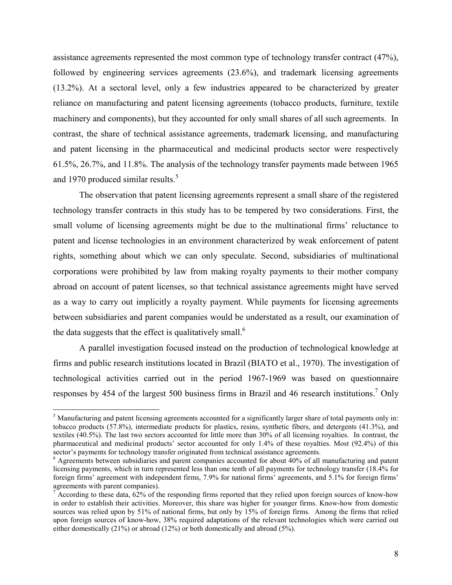assistance agreements represented the most common type of technology transfer contract (47%), followed by engineering services agreements (23.6%), and trademark licensing agreements (13.2%). At a sectoral level, only a few industries appeared to be characterized by greater reliance on manufacturing and patent licensing agreements (tobacco products, furniture, textile machinery and components), but they accounted for only small shares of all such agreements. In contrast, the share of technical assistance agreements, trademark licensing, and manufacturing and patent licensing in the pharmaceutical and medicinal products sector were respectively 61.5%, 26.7%, and 11.8%. The analysis of the technology transfer payments made between 1965 and 1970 produced similar results.<sup>5</sup>

 The observation that patent licensing agreements represent a small share of the registered technology transfer contracts in this study has to be tempered by two considerations. First, the small volume of licensing agreements might be due to the multinational firms' reluctance to patent and license technologies in an environment characterized by weak enforcement of patent rights, something about which we can only speculate. Second, subsidiaries of multinational corporations were prohibited by law from making royalty payments to their mother company abroad on account of patent licenses, so that technical assistance agreements might have served as a way to carry out implicitly a royalty payment. While payments for licensing agreements between subsidiaries and parent companies would be understated as a result, our examination of the data suggests that the effect is qualitatively small.<sup>6</sup>

 A parallel investigation focused instead on the production of technological knowledge at firms and public research institutions located in Brazil (BIATO et al., 1970). The investigation of technological activities carried out in the period 1967-1969 was based on questionnaire responses by 454 of the largest 500 business firms in Brazil and 46 research institutions.<sup>7</sup> Only

l

 $<sup>5</sup>$  Manufacturing and patent licensing agreements accounted for a significantly larger share of total payments only in:</sup> tobacco products (57.8%), intermediate products for plastics, resins, synthetic fibers, and detergents (41.3%), and textiles (40.5%). The last two sectors accounted for little more than 30% of all licensing royalties. In contrast, the pharmaceutical and medicinal products' sector accounted for only 1.4% of these royalties. Most (92.4%) of this sector's payments for technology transfer originated from technical assistance agreements.

<sup>&</sup>lt;sup>6</sup> Agreements between subsidiaries and parent companies accounted for about 40% of all manufacturing and patent licensing payments, which in turn represented less than one tenth of all payments for technology transfer (18.4% for foreign firms' agreement with independent firms, 7.9% for national firms' agreements, and 5.1% for foreign firms' agreements with parent companies).

<sup>&</sup>lt;sup>7</sup> According to these data,  $62\%$  of the responding firms reported that they relied upon foreign sources of know-how in order to establish their activities. Moreover, this share was higher for younger firms. Know-how from domestic sources was relied upon by 51% of national firms, but only by 15% of foreign firms. Among the firms that relied upon foreign sources of know-how, 38% required adaptations of the relevant technologies which were carried out either domestically (21%) or abroad (12%) or both domestically and abroad (5%).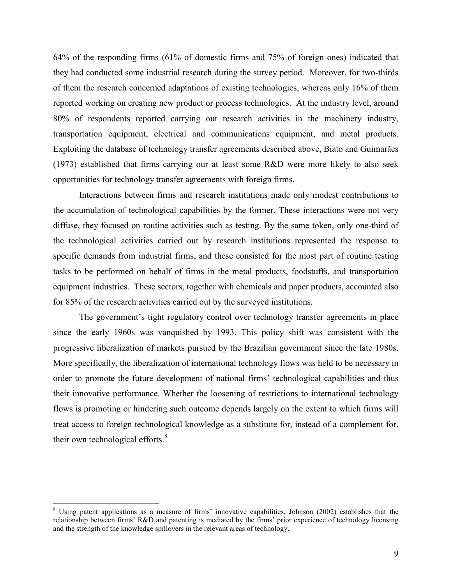64% of the responding firms (61% of domestic firms and 75% of foreign ones) indicated that they had conducted some industrial research during the survey period. Moreover, for two-thirds of them the research concerned adaptations of existing technologies, whereas only 16% of them reported working on creating new product or process technologies. At the industry level, around 80% of respondents reported carrying out research activities in the machinery industry, transportation equipment, electrical and communications equipment, and metal products. Exploiting the database of technology transfer agreements described above, Biato and Guimarães (1973) established that firms carrying our at least some R&D were more likely to also seek opportunities for technology transfer agreements with foreign firms.

Interactions between firms and research institutions made only modest contributions to the accumulation of technological capabilities by the former. These interactions were not very diffuse, they focused on routine activities such as testing. By the same token, only one-third of the technological activities carried out by research institutions represented the response to specific demands from industrial firms, and these consisted for the most part of routine testing tasks to be performed on behalf of firms in the metal products, foodstuffs, and transportation equipment industries. These sectors, together with chemicals and paper products, accounted also for 85% of the research activities carried out by the surveyed institutions.

The government's tight regulatory control over technology transfer agreements in place since the early 1960s was vanquished by 1993. This policy shift was consistent with the progressive liberalization of markets pursued by the Brazilian government since the late 1980s. More specifically, the liberalization of international technology flows was held to be necessary in order to promote the future development of national firms' technological capabilities and thus their innovative performance. Whether the loosening of restrictions to international technology flows is promoting or hindering such outcome depends largely on the extent to which firms will treat access to foreign technological knowledge as a substitute for, instead of a complement for, their own technological efforts. $8$ 

 $\overline{a}$ 

<sup>&</sup>lt;sup>8</sup> Using patent applications as a measure of firms' innovative capabilities, Johnson (2002) establishes that the relationship between firms' R&D and patenting is mediated by the firms' prior experience of technology licensing and the strength of the knowledge spillovers in the relevant areas of technology.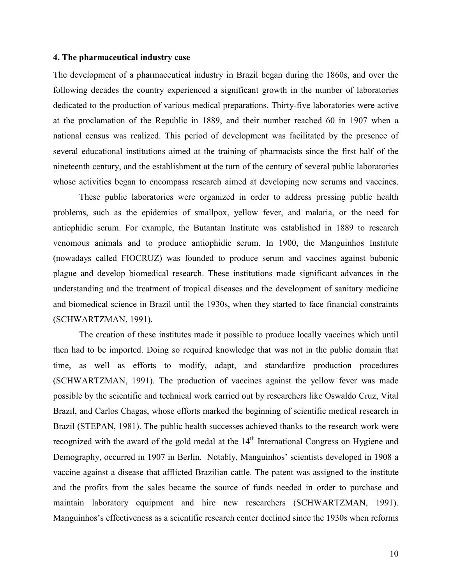#### **4. The pharmaceutical industry case**

The development of a pharmaceutical industry in Brazil began during the 1860s, and over the following decades the country experienced a significant growth in the number of laboratories dedicated to the production of various medical preparations. Thirty-five laboratories were active at the proclamation of the Republic in 1889, and their number reached 60 in 1907 when a national census was realized. This period of development was facilitated by the presence of several educational institutions aimed at the training of pharmacists since the first half of the nineteenth century, and the establishment at the turn of the century of several public laboratories whose activities began to encompass research aimed at developing new serums and vaccines.

 These public laboratories were organized in order to address pressing public health problems, such as the epidemics of smallpox, yellow fever, and malaria, or the need for antiophidic serum. For example, the Butantan Institute was established in 1889 to research venomous animals and to produce antiophidic serum. In 1900, the Manguinhos Institute (nowadays called FIOCRUZ) was founded to produce serum and vaccines against bubonic plague and develop biomedical research. These institutions made significant advances in the understanding and the treatment of tropical diseases and the development of sanitary medicine and biomedical science in Brazil until the 1930s, when they started to face financial constraints (SCHWARTZMAN, 1991).

 The creation of these institutes made it possible to produce locally vaccines which until then had to be imported. Doing so required knowledge that was not in the public domain that time, as well as efforts to modify, adapt, and standardize production procedures (SCHWARTZMAN, 1991). The production of vaccines against the yellow fever was made possible by the scientific and technical work carried out by researchers like Oswaldo Cruz, Vital Brazil, and Carlos Chagas, whose efforts marked the beginning of scientific medical research in Brazil (STEPAN, 1981). The public health successes achieved thanks to the research work were recognized with the award of the gold medal at the 14<sup>th</sup> International Congress on Hygiene and Demography, occurred in 1907 in Berlin. Notably, Manguinhos' scientists developed in 1908 a vaccine against a disease that afflicted Brazilian cattle. The patent was assigned to the institute and the profits from the sales became the source of funds needed in order to purchase and maintain laboratory equipment and hire new researchers (SCHWARTZMAN, 1991). Manguinhos's effectiveness as a scientific research center declined since the 1930s when reforms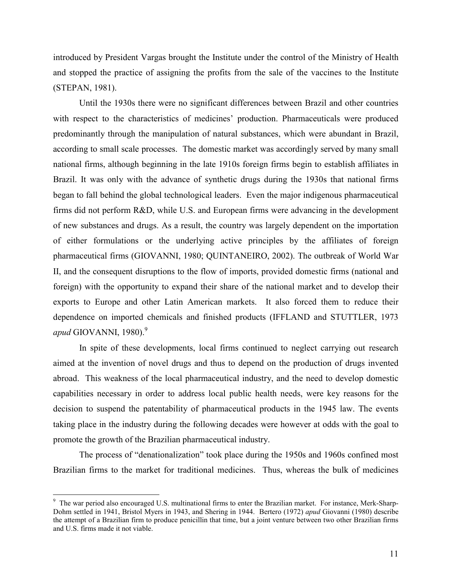introduced by President Vargas brought the Institute under the control of the Ministry of Health and stopped the practice of assigning the profits from the sale of the vaccines to the Institute (STEPAN, 1981).

 Until the 1930s there were no significant differences between Brazil and other countries with respect to the characteristics of medicines' production. Pharmaceuticals were produced predominantly through the manipulation of natural substances, which were abundant in Brazil, according to small scale processes. The domestic market was accordingly served by many small national firms, although beginning in the late 1910s foreign firms begin to establish affiliates in Brazil. It was only with the advance of synthetic drugs during the 1930s that national firms began to fall behind the global technological leaders. Even the major indigenous pharmaceutical firms did not perform R&D, while U.S. and European firms were advancing in the development of new substances and drugs. As a result, the country was largely dependent on the importation of either formulations or the underlying active principles by the affiliates of foreign pharmaceutical firms (GIOVANNI, 1980; QUINTANEIRO, 2002). The outbreak of World War II, and the consequent disruptions to the flow of imports, provided domestic firms (national and foreign) with the opportunity to expand their share of the national market and to develop their exports to Europe and other Latin American markets. It also forced them to reduce their dependence on imported chemicals and finished products (IFFLAND and STUTTLER, 1973 *apud* GIOVANNI, 1980).<sup>9</sup>

In spite of these developments, local firms continued to neglect carrying out research aimed at the invention of novel drugs and thus to depend on the production of drugs invented abroad. This weakness of the local pharmaceutical industry, and the need to develop domestic capabilities necessary in order to address local public health needs, were key reasons for the decision to suspend the patentability of pharmaceutical products in the 1945 law. The events taking place in the industry during the following decades were however at odds with the goal to promote the growth of the Brazilian pharmaceutical industry.

The process of "denationalization" took place during the 1950s and 1960s confined most Brazilian firms to the market for traditional medicines. Thus, whereas the bulk of medicines

 $\overline{a}$ 

<sup>&</sup>lt;sup>9</sup> The war period also encouraged U.S. multinational firms to enter the Brazilian market. For instance, Merk-Sharp-Dohm settled in 1941, Bristol Myers in 1943, and Shering in 1944. Bertero (1972) *apud* Giovanni (1980) describe the attempt of a Brazilian firm to produce penicillin that time, but a joint venture between two other Brazilian firms and U.S. firms made it not viable.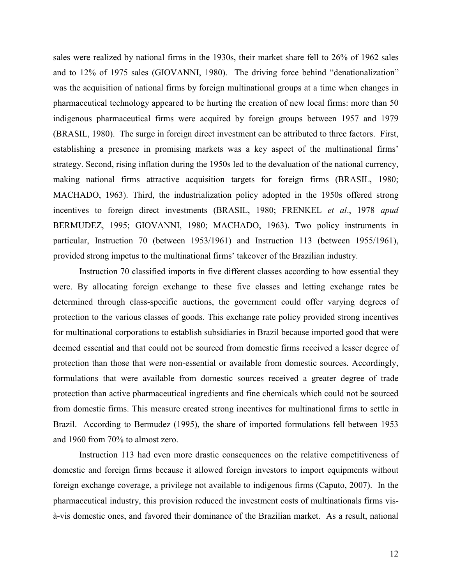sales were realized by national firms in the 1930s, their market share fell to 26% of 1962 sales and to 12% of 1975 sales (GIOVANNI, 1980). The driving force behind "denationalization" was the acquisition of national firms by foreign multinational groups at a time when changes in pharmaceutical technology appeared to be hurting the creation of new local firms: more than 50 indigenous pharmaceutical firms were acquired by foreign groups between 1957 and 1979 (BRASIL, 1980). The surge in foreign direct investment can be attributed to three factors. First, establishing a presence in promising markets was a key aspect of the multinational firms' strategy. Second, rising inflation during the 1950s led to the devaluation of the national currency, making national firms attractive acquisition targets for foreign firms (BRASIL, 1980; MACHADO, 1963). Third, the industrialization policy adopted in the 1950s offered strong incentives to foreign direct investments (BRASIL, 1980; FRENKEL *et al*., 1978 *apud* BERMUDEZ, 1995; GIOVANNI, 1980; MACHADO, 1963). Two policy instruments in particular, Instruction 70 (between 1953/1961) and Instruction 113 (between 1955/1961), provided strong impetus to the multinational firms' takeover of the Brazilian industry.

Instruction 70 classified imports in five different classes according to how essential they were. By allocating foreign exchange to these five classes and letting exchange rates be determined through class-specific auctions, the government could offer varying degrees of protection to the various classes of goods. This exchange rate policy provided strong incentives for multinational corporations to establish subsidiaries in Brazil because imported good that were deemed essential and that could not be sourced from domestic firms received a lesser degree of protection than those that were non-essential or available from domestic sources. Accordingly, formulations that were available from domestic sources received a greater degree of trade protection than active pharmaceutical ingredients and fine chemicals which could not be sourced from domestic firms. This measure created strong incentives for multinational firms to settle in Brazil. According to Bermudez (1995), the share of imported formulations fell between 1953 and 1960 from 70% to almost zero.

 Instruction 113 had even more drastic consequences on the relative competitiveness of domestic and foreign firms because it allowed foreign investors to import equipments without foreign exchange coverage, a privilege not available to indigenous firms (Caputo, 2007). In the pharmaceutical industry, this provision reduced the investment costs of multinationals firms visà-vis domestic ones, and favored their dominance of the Brazilian market. As a result, national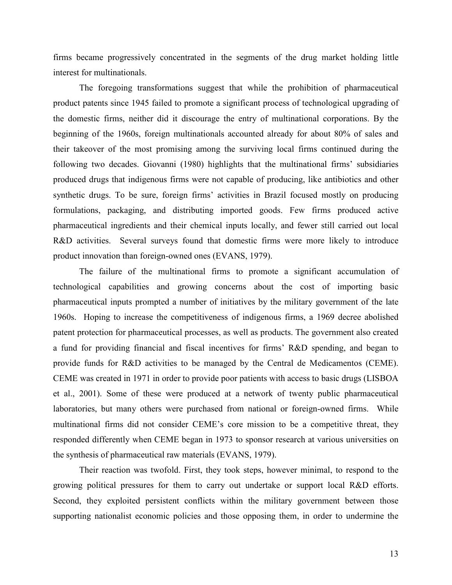firms became progressively concentrated in the segments of the drug market holding little interest for multinationals.

 The foregoing transformations suggest that while the prohibition of pharmaceutical product patents since 1945 failed to promote a significant process of technological upgrading of the domestic firms, neither did it discourage the entry of multinational corporations. By the beginning of the 1960s, foreign multinationals accounted already for about 80% of sales and their takeover of the most promising among the surviving local firms continued during the following two decades. Giovanni (1980) highlights that the multinational firms' subsidiaries produced drugs that indigenous firms were not capable of producing, like antibiotics and other synthetic drugs. To be sure, foreign firms' activities in Brazil focused mostly on producing formulations, packaging, and distributing imported goods. Few firms produced active pharmaceutical ingredients and their chemical inputs locally, and fewer still carried out local R&D activities. Several surveys found that domestic firms were more likely to introduce product innovation than foreign-owned ones (EVANS, 1979).

 The failure of the multinational firms to promote a significant accumulation of technological capabilities and growing concerns about the cost of importing basic pharmaceutical inputs prompted a number of initiatives by the military government of the late 1960s. Hoping to increase the competitiveness of indigenous firms, a 1969 decree abolished patent protection for pharmaceutical processes, as well as products. The government also created a fund for providing financial and fiscal incentives for firms' R&D spending, and began to provide funds for R&D activities to be managed by the Central de Medicamentos (CEME). CEME was created in 1971 in order to provide poor patients with access to basic drugs (LISBOA et al., 2001). Some of these were produced at a network of twenty public pharmaceutical laboratories, but many others were purchased from national or foreign-owned firms. While multinational firms did not consider CEME's core mission to be a competitive threat, they responded differently when CEME began in 1973 to sponsor research at various universities on the synthesis of pharmaceutical raw materials (EVANS, 1979).

Their reaction was twofold. First, they took steps, however minimal, to respond to the growing political pressures for them to carry out undertake or support local R&D efforts. Second, they exploited persistent conflicts within the military government between those supporting nationalist economic policies and those opposing them, in order to undermine the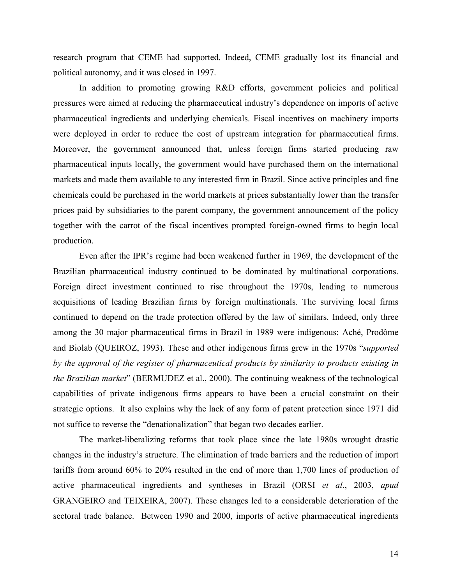research program that CEME had supported. Indeed, CEME gradually lost its financial and political autonomy, and it was closed in 1997.

 In addition to promoting growing R&D efforts, government policies and political pressures were aimed at reducing the pharmaceutical industry's dependence on imports of active pharmaceutical ingredients and underlying chemicals. Fiscal incentives on machinery imports were deployed in order to reduce the cost of upstream integration for pharmaceutical firms. Moreover, the government announced that, unless foreign firms started producing raw pharmaceutical inputs locally, the government would have purchased them on the international markets and made them available to any interested firm in Brazil. Since active principles and fine chemicals could be purchased in the world markets at prices substantially lower than the transfer prices paid by subsidiaries to the parent company, the government announcement of the policy together with the carrot of the fiscal incentives prompted foreign-owned firms to begin local production.

Even after the IPR's regime had been weakened further in 1969, the development of the Brazilian pharmaceutical industry continued to be dominated by multinational corporations. Foreign direct investment continued to rise throughout the 1970s, leading to numerous acquisitions of leading Brazilian firms by foreign multinationals. The surviving local firms continued to depend on the trade protection offered by the law of similars. Indeed, only three among the 30 major pharmaceutical firms in Brazil in 1989 were indigenous: Aché, Prodôme and Biolab (QUEIROZ, 1993). These and other indigenous firms grew in the 1970s "*supported by the approval of the register of pharmaceutical products by similarity to products existing in the Brazilian market*" (BERMUDEZ et al., 2000). The continuing weakness of the technological capabilities of private indigenous firms appears to have been a crucial constraint on their strategic options. It also explains why the lack of any form of patent protection since 1971 did not suffice to reverse the "denationalization" that began two decades earlier.

 The market-liberalizing reforms that took place since the late 1980s wrought drastic changes in the industry's structure. The elimination of trade barriers and the reduction of import tariffs from around 60% to 20% resulted in the end of more than 1,700 lines of production of active pharmaceutical ingredients and syntheses in Brazil (ORSI *et al*., 2003, *apud* GRANGEIRO and TEIXEIRA, 2007). These changes led to a considerable deterioration of the sectoral trade balance. Between 1990 and 2000, imports of active pharmaceutical ingredients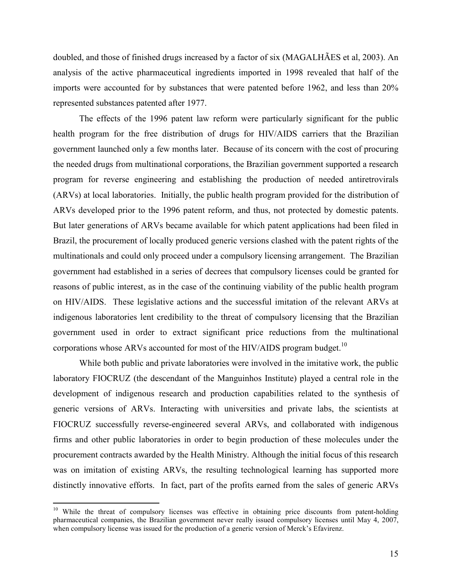doubled, and those of finished drugs increased by a factor of six (MAGALHÃES et al, 2003). An analysis of the active pharmaceutical ingredients imported in 1998 revealed that half of the imports were accounted for by substances that were patented before 1962, and less than 20% represented substances patented after 1977.

 The effects of the 1996 patent law reform were particularly significant for the public health program for the free distribution of drugs for HIV/AIDS carriers that the Brazilian government launched only a few months later. Because of its concern with the cost of procuring the needed drugs from multinational corporations, the Brazilian government supported a research program for reverse engineering and establishing the production of needed antiretrovirals (ARVs) at local laboratories. Initially, the public health program provided for the distribution of ARVs developed prior to the 1996 patent reform, and thus, not protected by domestic patents. But later generations of ARVs became available for which patent applications had been filed in Brazil, the procurement of locally produced generic versions clashed with the patent rights of the multinationals and could only proceed under a compulsory licensing arrangement. The Brazilian government had established in a series of decrees that compulsory licenses could be granted for reasons of public interest, as in the case of the continuing viability of the public health program on HIV/AIDS. These legislative actions and the successful imitation of the relevant ARVs at indigenous laboratories lent credibility to the threat of compulsory licensing that the Brazilian government used in order to extract significant price reductions from the multinational corporations whose ARVs accounted for most of the HIV/AIDS program budget.<sup>10</sup>

While both public and private laboratories were involved in the imitative work, the public laboratory FIOCRUZ (the descendant of the Manguinhos Institute) played a central role in the development of indigenous research and production capabilities related to the synthesis of generic versions of ARVs. Interacting with universities and private labs, the scientists at FIOCRUZ successfully reverse-engineered several ARVs, and collaborated with indigenous firms and other public laboratories in order to begin production of these molecules under the procurement contracts awarded by the Health Ministry. Although the initial focus of this research was on imitation of existing ARVs, the resulting technological learning has supported more distinctly innovative efforts. In fact, part of the profits earned from the sales of generic ARVs

 $\overline{a}$ 

<sup>&</sup>lt;sup>10</sup> While the threat of compulsory licenses was effective in obtaining price discounts from patent-holding pharmaceutical companies, the Brazilian government never really issued compulsory licenses until May 4, 2007, when compulsory license was issued for the production of a generic version of Merck's Efavirenz.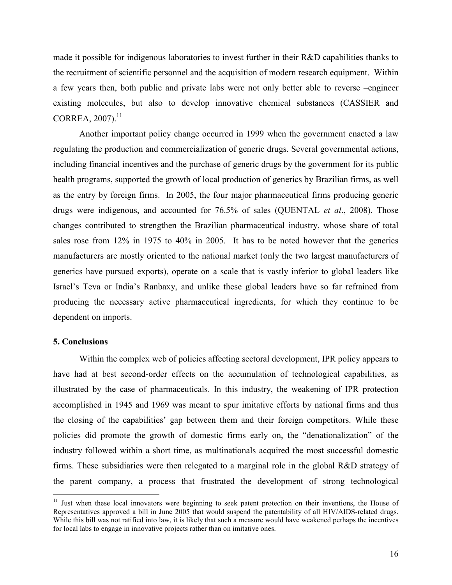made it possible for indigenous laboratories to invest further in their R&D capabilities thanks to the recruitment of scientific personnel and the acquisition of modern research equipment. Within a few years then, both public and private labs were not only better able to reverse –engineer existing molecules, but also to develop innovative chemical substances (CASSIER and  $CORREA, 2007).$ <sup>11</sup>

Another important policy change occurred in 1999 when the government enacted a law regulating the production and commercialization of generic drugs. Several governmental actions, including financial incentives and the purchase of generic drugs by the government for its public health programs, supported the growth of local production of generics by Brazilian firms, as well as the entry by foreign firms. In 2005, the four major pharmaceutical firms producing generic drugs were indigenous, and accounted for 76.5% of sales (QUENTAL *et al*., 2008). Those changes contributed to strengthen the Brazilian pharmaceutical industry, whose share of total sales rose from 12% in 1975 to 40% in 2005. It has to be noted however that the generics manufacturers are mostly oriented to the national market (only the two largest manufacturers of generics have pursued exports), operate on a scale that is vastly inferior to global leaders like Israel's Teva or India's Ranbaxy, and unlike these global leaders have so far refrained from producing the necessary active pharmaceutical ingredients, for which they continue to be dependent on imports.

## **5. Conclusions**

 $\overline{a}$ 

Within the complex web of policies affecting sectoral development, IPR policy appears to have had at best second-order effects on the accumulation of technological capabilities, as illustrated by the case of pharmaceuticals. In this industry, the weakening of IPR protection accomplished in 1945 and 1969 was meant to spur imitative efforts by national firms and thus the closing of the capabilities' gap between them and their foreign competitors. While these policies did promote the growth of domestic firms early on, the "denationalization" of the industry followed within a short time, as multinationals acquired the most successful domestic firms. These subsidiaries were then relegated to a marginal role in the global R&D strategy of the parent company, a process that frustrated the development of strong technological

<sup>&</sup>lt;sup>11</sup> Just when these local innovators were beginning to seek patent protection on their inventions, the House of Representatives approved a bill in June 2005 that would suspend the patentability of all HIV/AIDS-related drugs. While this bill was not ratified into law, it is likely that such a measure would have weakened perhaps the incentives for local labs to engage in innovative projects rather than on imitative ones.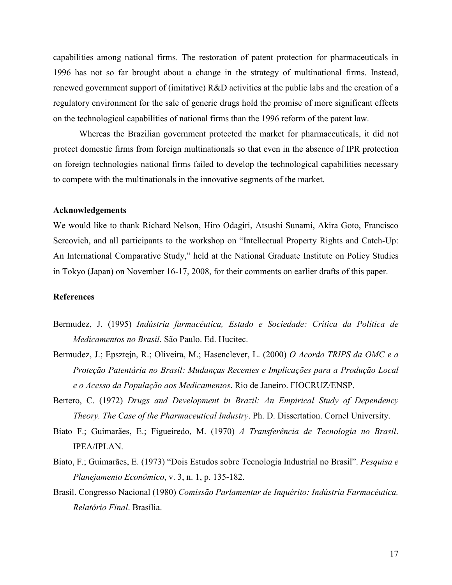capabilities among national firms. The restoration of patent protection for pharmaceuticals in 1996 has not so far brought about a change in the strategy of multinational firms. Instead, renewed government support of (imitative) R&D activities at the public labs and the creation of a regulatory environment for the sale of generic drugs hold the promise of more significant effects on the technological capabilities of national firms than the 1996 reform of the patent law.

Whereas the Brazilian government protected the market for pharmaceuticals, it did not protect domestic firms from foreign multinationals so that even in the absence of IPR protection on foreign technologies national firms failed to develop the technological capabilities necessary to compete with the multinationals in the innovative segments of the market.

#### **Acknowledgements**

We would like to thank Richard Nelson, Hiro Odagiri, Atsushi Sunami, Akira Goto, Francisco Sercovich, and all participants to the workshop on "Intellectual Property Rights and Catch-Up: An International Comparative Study," held at the National Graduate Institute on Policy Studies in Tokyo (Japan) on November 16-17, 2008, for their comments on earlier drafts of this paper.

#### **References**

- Bermudez, J. (1995) *Indústria farmacêutica, Estado e Sociedade: Crítica da Política de Medicamentos no Brasil*. São Paulo. Ed. Hucitec.
- Bermudez, J.; Epsztejn, R.; Oliveira, M.; Hasenclever, L. (2000) *O Acordo TRIPS da OMC e a Proteção Patentária no Brasil: Mudanças Recentes e Implicações para a Produção Local e o Acesso da População aos Medicamentos*. Rio de Janeiro. FIOCRUZ/ENSP.
- Bertero, C. (1972) *Drugs and Development in Brazil: An Empirical Study of Dependency Theory. The Case of the Pharmaceutical Industry*. Ph. D. Dissertation. Cornel University.
- Biato F.; Guimarães, E.; Figueiredo, M. (1970) *A Transferência de Tecnologia no Brasil*. IPEA/IPLAN.
- Biato, F.; Guimarães, E. (1973) "Dois Estudos sobre Tecnologia Industrial no Brasil". *Pesquisa e Planejamento Econômico*, v. 3, n. 1, p. 135-182.
- Brasil. Congresso Nacional (1980) *Comissão Parlamentar de Inquérito: Indústria Farmacêutica. Relatório Final*. Brasília.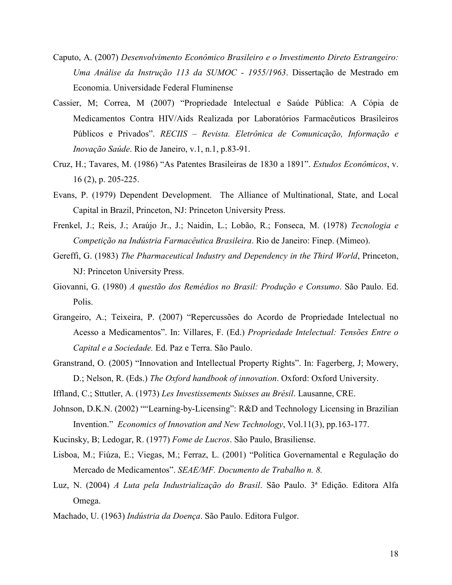- Caputo, A. (2007) *Desenvolvimento Econômico Brasileiro e o Investimento Direto Estrangeiro: Uma Análise da Instrução 113 da SUMOC - 1955/1963*. Dissertação de Mestrado em Economia. Universidade Federal Fluminense
- Cassier, M; Correa, M (2007) "Propriedade Intelectual e Saúde Pública: A Cópia de Medicamentos Contra HIV/Aids Realizada por Laboratórios Farmacêuticos Brasileiros Públicos e Privados". *RECIIS – Revista. Eletrônica de Comunicação, Informação e Inovação Saúde*. Rio de Janeiro, v.1, n.1, p.83-91.
- Cruz, H.; Tavares, M. (1986) "As Patentes Brasileiras de 1830 a 1891". *Estudos Econômicos*, v. 16 (2), p. 205-225.
- Evans, P. (1979) Dependent Development. The Alliance of Multinational, State, and Local Capital in Brazil, Princeton, NJ: Princeton University Press.
- Frenkel, J.; Reis, J.; Araújo Jr., J.; Naidin, L.; Lobão, R.; Fonseca, M. (1978) *Tecnologia e Competição na Indústria Farmacêutica Brasileira*. Rio de Janeiro: Finep. (Mimeo).
- Gereffi, G. (1983) *The Pharmaceutical Industry and Dependency in the Third World*, Princeton, NJ: Princeton University Press.
- Giovanni, G. (1980) *A questão dos Remédios no Brasil: Produção e Consumo*. São Paulo. Ed. Polis.
- Grangeiro, A.; Teixeira, P. (2007) "Repercussões do Acordo de Propriedade Intelectual no Acesso a Medicamentos". In: Villares, F. (Ed.) *Propriedade Intelectual: Tensões Entre o Capital e a Sociedade.* Ed. Paz e Terra. São Paulo.
- Granstrand, O. (2005) "Innovation and Intellectual Property Rights". In: Fagerberg, J; Mowery, D.; Nelson, R. (Eds.) *The Oxford handbook of innovation*. Oxford: Oxford University.

Iffland, C.; Sttutler, A. (1973) *Les Investissements Suisses au Brésil*. Lausanne, CRE.

- Johnson, D.K.N. (2002) ""Learning-by-Licensing": R&D and Technology Licensing in Brazilian Invention." *Economics of Innovation and New Technology*, Vol.11(3), pp.163-177.
- Kucinsky, B; Ledogar, R. (1977) *Fome de Lucros*. São Paulo, Brasiliense.
- Lisboa, M.; Fiúza, E.; Viegas, M.; Ferraz, L. (2001) "Política Governamental e Regulação do Mercado de Medicamentos". *SEAE/MF. Documento de Trabalho n. 8.*
- Luz, N. (2004) *A Luta pela Industrialização do Brasil*. São Paulo. 3ª Edição. Editora Alfa Omega.
- Machado, U. (1963) *Indústria da Doença*. São Paulo. Editora Fulgor.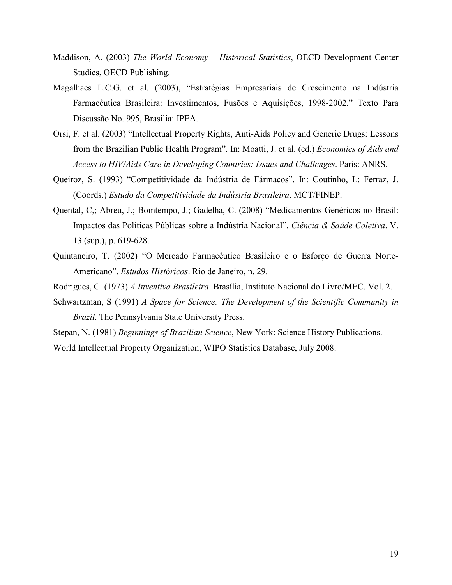- Maddison, A. (2003) *The World Economy Historical Statistics*, OECD Development Center Studies, OECD Publishing.
- Magalhaes L.C.G. et al. (2003), "Estratégias Empresariais de Crescimento na Indústria Farmacêutica Brasileira: Investimentos, Fusões e Aquisições, 1998-2002." Texto Para Discussão No. 995, Brasilia: IPEA.
- Orsi, F. et al. (2003) "Intellectual Property Rights, Anti-Aids Policy and Generic Drugs: Lessons from the Brazilian Public Health Program". In: Moatti, J. et al. (ed.) *Economics of Aids and Access to HIV/Aids Care in Developing Countries: Issues and Challenges*. Paris: ANRS.
- Queiroz, S. (1993) "Competitividade da Indústria de Fármacos". In: Coutinho, L; Ferraz, J. (Coords.) *Estudo da Competitividade da Indústria Brasileira*. MCT/FINEP.
- Quental, C,; Abreu, J.; Bomtempo, J.; Gadelha, C. (2008) "Medicamentos Genéricos no Brasil: Impactos das Políticas Públicas sobre a Indústria Nacional". *Ciência & Saúde Coletiva*. V. 13 (sup.), p. 619-628.
- Quintaneiro, T. (2002) "O Mercado Farmacêutico Brasileiro e o Esforço de Guerra Norte-Americano". *Estudos Históricos*. Rio de Janeiro, n. 29.
- Rodrigues, C. (1973) *A Inventiva Brasileira*. Brasília, Instituto Nacional do Livro/MEC. Vol. 2.
- Schwartzman, S (1991) *A Space for Science: The Development of the Scientific Community in Brazil*. The Pennsylvania State University Press.
- Stepan, N. (1981) *Beginnings of Brazilian Science*, New York: Science History Publications.

World Intellectual Property Organization, WIPO Statistics Database, July 2008.